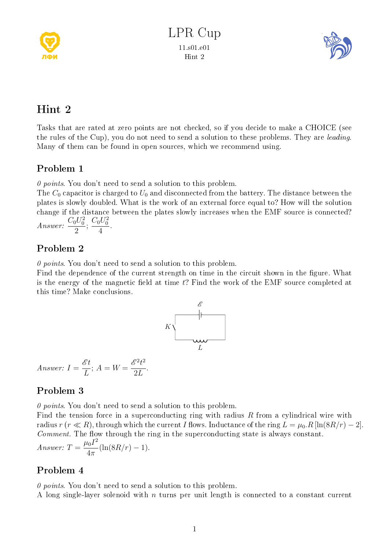



# Hint 2

Tasks that are rated at zero points are not checked, so if you decide to make a CHOICE (see the rules of the Cup), you do not need to send a solution to these problems. They are leading. Many of them can be found in open sources, which we recommend using.

## Problem 1

 $\theta$  points. You don't need to send a solution to this problem.

The  $C_0$  capacitor is charged to  $U_0$  and disconnected from the battery. The distance between the plates is slowly doubled. What is the work of an external force equal to? How will the solution change if the distance between the plates slowly increases when the EMF source is connected? .

Answer: 
$$
\frac{C_0 U_0^2}{2}
$$
;  $\frac{C_0 U_0^2}{4}$ 

## Problem 2

 $\theta$  points. You don't need to send a solution to this problem.

Find the dependence of the current strength on time in the circuit shown in the figure. What is the energy of the magnetic field at time  $t$ ? Find the work of the EMF source completed at this time? Make conclusions.



Answer: 
$$
I = \frac{\mathscr{E}t}{L}
$$
;  $A = W = \frac{\mathscr{E}^2 t^2}{2L}$ 

## Problem 3

 $\theta$  points. You don't need to send a solution to this problem.

.

Find the tension force in a superconducting ring with radius R from a cylindrical wire with radius r (r  $\ll R$ ), through which the current I flows. Inductance of the ring  $L = \mu_0 R [\ln(8R/r) - 2]$ . Comment. The flow through the ring in the superconducting state is always constant. Answer:  $T = \frac{\mu_0 I^2}{4}$  $4\pi$  $(\ln(8R/r) - 1).$ 

## Problem 4

 $\theta$  points. You don't need to send a solution to this problem.

A long single-layer solenoid with  $n$  turns per unit length is connected to a constant current